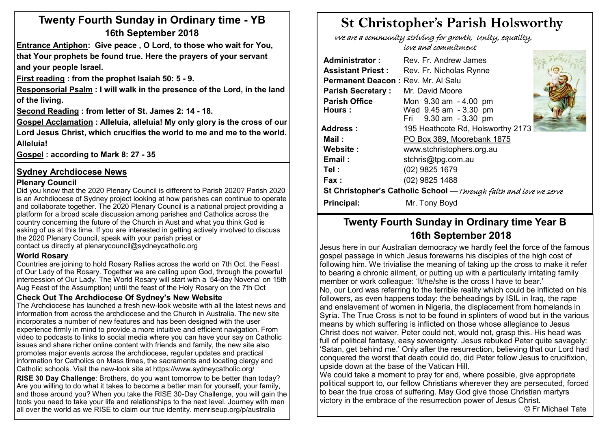# **Twenty Fourth Sunday in Ordinary time - YB 16th September 2018**

**Entrance Antiphon: Give peace , O Lord, to those who wait for You, that Your prophets be found true. Here the prayers of your servant and your people Israel.**

**First reading : from the prophet Isaiah 50: 5 - 9.** 

**Responsorial Psalm : I will walk in the presence of the Lord, in the land of the living.**

**Second Reading : from letter of St. James 2: 14 - 18.** 

**Gospel Acclamation : Alleluia, alleluia! My only glory is the cross of our Lord Jesus Christ, which crucifies the world to me and me to the world. Alleluia!**

**Gospel : according to Mark 8: 27 - 35**

#### **Sydney Archdiocese News**

#### **Plenary Council**

Did you know that the 2020 Plenary Council is different to Parish 2020? Parish 2020 is an Archdiocese of Sydney project looking at how parishes can continue to operate and collaborate together. The 2020 Plenary Council is a national project providing a platform for a broad scale discussion among parishes and Catholics across the country concerning the future of the Church in Aust and what you think God is asking of us at this time. If you are interested in getting actively involved to discuss the 2020 Plenary Council, speak with your parish priest or contact us directly at plenarycouncil@sydneycatholic.org

#### **World Rosary**

Countries are joining to hold Rosary Rallies across the world on 7th Oct, the Feast of Our Lady of the Rosary. Together we are calling upon God, through the powerful intercession of Our Lady. The World Rosary will start with a '54-day Novena' on 15th Aug Feast of the Assumption) until the feast of the Holy Rosary on the 7th Oct

#### **Check Out The Archdiocese Of Sydney's New Website**

The Archdiocese has launched a fresh new-look website with all the latest news and information from across the archdiocese and the Church in Australia. The new site incorporates a number of new features and has been designed with the user experience firmly in mind to provide a more intuitive and efficient navigation. From video to podcasts to links to social media where you can have your say on Catholic issues and share richer online content with friends and family, the new site also promotes major events across the archdiocese, regular updates and practical information for Catholics on Mass times, the sacraments and locating clergy and Catholic schools. Visit the new-look site at https://www.sydneycatholic.org/

**RISE 30 Day Challenge**: Brothers, do you want tomorrow to be better than today? Are you willing to do what it takes to become a better man for yourself, your family, and those around you? When you take the RISE 30-Day Challenge, you will gain the tools you need to take your life and relationships to the next level. Journey with men all over the world as we RISE to claim our true identity. menriseup.org/p/australia

# **St Christopher's Parish Holsworthy**

 We are a community striving for growth, Unity, equality, love and commitment

| <b>Administrator:</b>                                             | Rev. Fr. Andrew James             |  |  |  |  |  |  |
|-------------------------------------------------------------------|-----------------------------------|--|--|--|--|--|--|
| <b>Assistant Priest:</b>                                          | Rev. Fr. Nicholas Rynne           |  |  |  |  |  |  |
| Permanent Deacon: Rev. Mr. Al Salu                                |                                   |  |  |  |  |  |  |
| <b>Parish Secretary:</b>                                          | Mr. David Moore                   |  |  |  |  |  |  |
| <b>Parish Office</b>                                              | Mon 9.30 am - 4.00 pm             |  |  |  |  |  |  |
| Hours:                                                            | Wed 9.45 am - 3.30 pm             |  |  |  |  |  |  |
|                                                                   | Fri 9.30 am - 3.30 pm             |  |  |  |  |  |  |
| Address :                                                         | 195 Heathcote Rd, Holsworthy 2173 |  |  |  |  |  |  |
| Mail :                                                            | PO Box 389, Moorebank 1875        |  |  |  |  |  |  |
| Website:                                                          | www.stchristophers.org.au         |  |  |  |  |  |  |
| Email:                                                            | stchris@tpg.com.au                |  |  |  |  |  |  |
| Tel :                                                             | (02) 9825 1679                    |  |  |  |  |  |  |
| Fax :                                                             | (02) 9825 1488                    |  |  |  |  |  |  |
| St Christopher's Catholic School -Through faith and love we serve |                                   |  |  |  |  |  |  |
| Principal:                                                        | Mr. Tony Boyd                     |  |  |  |  |  |  |

# **Twenty Fourth Sunday in Ordinary time Year B 16th September 2018**

Jesus here in our Australian democracy we hardly feel the force of the famous gospel passage in which Jesus forewarns his disciples of the high cost of following him. We trivialise the meaning of taking up the cross to make it refer to bearing a chronic ailment, or putting up with a particularly irritating family member or work colleague: 'It/he/she is the cross I have to bear.' No, our Lord was referring to the terrible reality which could be inflicted on his followers, as even happens today: the beheadings by ISIL in Iraq, the rape and enslavement of women in Nigeria, the displacement from homelands in Syria. The True Cross is not to be found in splinters of wood but in the various means by which suffering is inflicted on those whose allegiance to Jesus Christ does not waiver. Peter could not, would not, grasp this. His head was full of political fantasy, easy sovereignty. Jesus rebuked Peter quite savagely: 'Satan, get behind me.' Only after the resurrection, believing that our Lord had conquered the worst that death could do, did Peter follow Jesus to crucifixion, upside down at the base of the Vatican Hill.

We could take a moment to pray for and, where possible, give appropriate political support to, our fellow Christians wherever they are persecuted, forced to bear the true cross of suffering. May God give those Christian martyrs victory in the embrace of the resurrection power of Jesus Christ.

© Fr Michael Tate